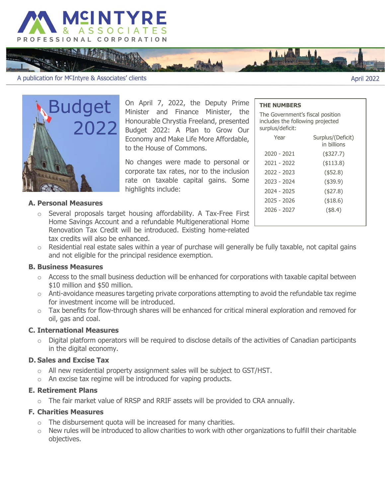

A publication for MCIntyre & Associates' clients

**THEN MA** 



On April 7, 2022, the Deputy Prime Minister and Finance Minister, the Honourable Chrystia Freeland, presented Budget 2022: A Plan to Grow Our Economy and Make Life More Affordable, to the House of Commons.

No changes were made to personal or corporate tax rates, nor to the inclusion rate on taxable capital gains. Some highlights include:

#### **THE NUMBERS**

The Government's fiscal position includes the following projected surplus/deficit:

April 2022

| Year        | Surplus/(Deficit)<br>in billions |
|-------------|----------------------------------|
| 2020 - 2021 | (\$327.7)                        |
| 2021 - 2022 | $($ \$113.8)                     |
| 2022 - 2023 | $($ \$52.8)                      |
| 2023 - 2024 | $($ \$39.9)                      |
| 2024 - 2025 | $($ \$27.8)                      |
| 2025 - 2026 | ( \$18.6)                        |
| 2026 - 2027 | $($ \$8.4)                       |
|             |                                  |

### **A. Personal Measures**

- o Several proposals target housing affordability. A Tax-Free First Home Savings Account and a refundable Multigenerational Home Renovation Tax Credit will be introduced. Existing home-related tax credits will also be enhanced.
- $\circ$  Residential real estate sales within a year of purchase will generally be fully taxable, not capital gains and not eligible for the principal residence exemption.

#### **B. Business Measures**

- $\circ$  Access to the small business deduction will be enhanced for corporations with taxable capital between \$10 million and \$50 million.
- $\circ$  Anti-avoidance measures targeting private corporations attempting to avoid the refundable tax regime for investment income will be introduced.
- $\circ$  Tax benefits for flow-through shares will be enhanced for critical mineral exploration and removed for oil, gas and coal.

### **C. International Measures**

 $\circ$  Digital platform operators will be required to disclose details of the activities of Canadian participants in the digital economy.

## **D. Sales and Excise Tax**

- o All new residential property assignment sales will be subject to GST/HST.
- o An excise tax regime will be introduced for vaping products.

#### **E. Retirement Plans**

o The fair market value of RRSP and RRIF assets will be provided to CRA annually.

### **F. Charities Measures**

- $\circ$  The disbursement quota will be increased for many charities.
- $\circ$  New rules will be introduced to allow charities to work with other organizations to fulfill their charitable objectives.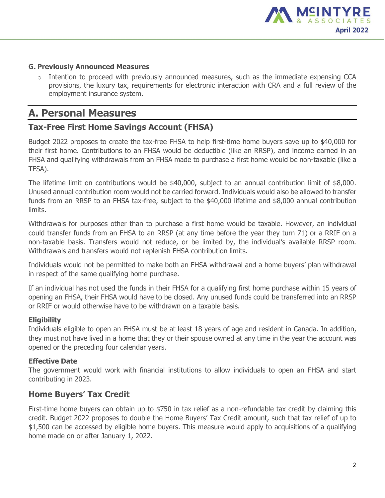

### **G. Previously Announced Measures**

 $\circ$  Intention to proceed with previously announced measures, such as the immediate expensing CCA provisions, the luxury tax, requirements for electronic interaction with CRA and a full review of the employment insurance system.

# **A. Personal Measures**

# **Tax-Free First Home Savings Account (FHSA)**

Budget 2022 proposes to create the tax-free FHSA to help first-time home buyers save up to \$40,000 for their first home. Contributions to an FHSA would be deductible (like an RRSP), and income earned in an FHSA and qualifying withdrawals from an FHSA made to purchase a first home would be non-taxable (like a TFSA).

The lifetime limit on contributions would be \$40,000, subject to an annual contribution limit of \$8,000. Unused annual contribution room would not be carried forward. Individuals would also be allowed to transfer funds from an RRSP to an FHSA tax-free, subject to the \$40,000 lifetime and \$8,000 annual contribution limits.

Withdrawals for purposes other than to purchase a first home would be taxable. However, an individual could transfer funds from an FHSA to an RRSP (at any time before the year they turn 71) or a RRIF on a non-taxable basis. Transfers would not reduce, or be limited by, the individual's available RRSP room. Withdrawals and transfers would not replenish FHSA contribution limits.

Individuals would not be permitted to make both an FHSA withdrawal and a home buyers' plan withdrawal in respect of the same qualifying home purchase.

If an individual has not used the funds in their FHSA for a qualifying first home purchase within 15 years of opening an FHSA, their FHSA would have to be closed. Any unused funds could be transferred into an RRSP or RRIF or would otherwise have to be withdrawn on a taxable basis.

### **Eligibility**

Individuals eligible to open an FHSA must be at least 18 years of age and resident in Canada. In addition, they must not have lived in a home that they or their spouse owned at any time in the year the account was opened or the preceding four calendar years.

### **Effective Date**

The government would work with financial institutions to allow individuals to open an FHSA and start contributing in 2023.

# **Home Buyers' Tax Credit**

First-time home buyers can obtain up to \$750 in tax relief as a non-refundable tax credit by claiming this credit. Budget 2022 proposes to double the Home Buyers' Tax Credit amount, such that tax relief of up to \$1,500 can be accessed by eligible home buyers. This measure would apply to acquisitions of a qualifying home made on or after January 1, 2022.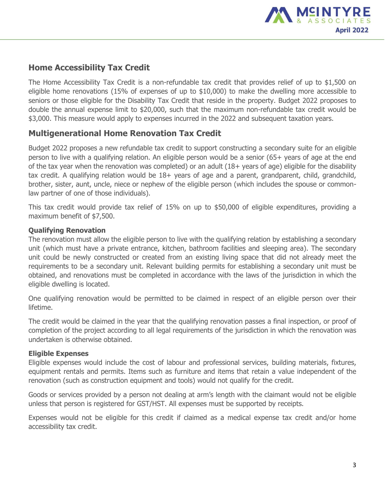

# **Home Accessibility Tax Credit**

The Home Accessibility Tax Credit is a non-refundable tax credit that provides relief of up to \$1,500 on eligible home renovations (15% of expenses of up to \$10,000) to make the dwelling more accessible to seniors or those eligible for the Disability Tax Credit that reside in the property. Budget 2022 proposes to double the annual expense limit to \$20,000, such that the maximum non-refundable tax credit would be \$3,000. This measure would apply to expenses incurred in the 2022 and subsequent taxation years.

# **Multigenerational Home Renovation Tax Credit**

Budget 2022 proposes a new refundable tax credit to support constructing a secondary suite for an eligible person to live with a qualifying relation. An eligible person would be a senior (65+ years of age at the end of the tax year when the renovation was completed) or an adult (18+ years of age) eligible for the disability tax credit. A qualifying relation would be 18+ years of age and a parent, grandparent, child, grandchild, brother, sister, aunt, uncle, niece or nephew of the eligible person (which includes the spouse or commonlaw partner of one of those individuals).

This tax credit would provide tax relief of 15% on up to \$50,000 of eligible expenditures, providing a maximum benefit of \$7,500.

## **Qualifying Renovation**

The renovation must allow the eligible person to live with the qualifying relation by establishing a secondary unit (which must have a private entrance, kitchen, bathroom facilities and sleeping area). The secondary unit could be newly constructed or created from an existing living space that did not already meet the requirements to be a secondary unit. Relevant building permits for establishing a secondary unit must be obtained, and renovations must be completed in accordance with the laws of the jurisdiction in which the eligible dwelling is located.

One qualifying renovation would be permitted to be claimed in respect of an eligible person over their lifetime.

The credit would be claimed in the year that the qualifying renovation passes a final inspection, or proof of completion of the project according to all legal requirements of the jurisdiction in which the renovation was undertaken is otherwise obtained.

### **Eligible Expenses**

Eligible expenses would include the cost of labour and professional services, building materials, fixtures, equipment rentals and permits. Items such as furniture and items that retain a value independent of the renovation (such as construction equipment and tools) would not qualify for the credit.

Goods or services provided by a person not dealing at arm's length with the claimant would not be eligible unless that person is registered for GST/HST. All expenses must be supported by receipts.

Expenses would not be eligible for this credit if claimed as a medical expense tax credit and/or home accessibility tax credit.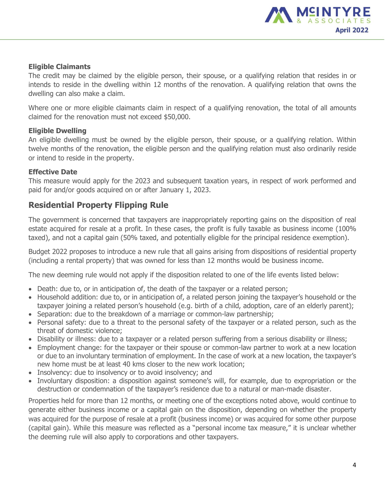

## **Eligible Claimants**

The credit may be claimed by the eligible person, their spouse, or a qualifying relation that resides in or intends to reside in the dwelling within 12 months of the renovation. A qualifying relation that owns the dwelling can also make a claim.

Where one or more eligible claimants claim in respect of a qualifying renovation, the total of all amounts claimed for the renovation must not exceed \$50,000.

## **Eligible Dwelling**

An eligible dwelling must be owned by the eligible person, their spouse, or a qualifying relation. Within twelve months of the renovation, the eligible person and the qualifying relation must also ordinarily reside or intend to reside in the property.

## **Effective Date**

This measure would apply for the 2023 and subsequent taxation years, in respect of work performed and paid for and/or goods acquired on or after January 1, 2023.

# **Residential Property Flipping Rule**

The government is concerned that taxpayers are inappropriately reporting gains on the disposition of real estate acquired for resale at a profit. In these cases, the profit is fully taxable as business income (100% taxed), and not a capital gain (50% taxed, and potentially eligible for the principal residence exemption).

Budget 2022 proposes to introduce a new rule that all gains arising from dispositions of residential property (including a rental property) that was owned for less than 12 months would be business income.

The new deeming rule would not apply if the disposition related to one of the life events listed below:

- Death: due to, or in anticipation of, the death of the taxpayer or a related person;
- Household addition: due to, or in anticipation of, a related person joining the taxpayer's household or the taxpayer joining a related person's household (e.g. birth of a child, adoption, care of an elderly parent);
- Separation: due to the breakdown of a marriage or common-law partnership;
- Personal safety: due to a threat to the personal safety of the taxpayer or a related person, such as the threat of domestic violence;
- Disability or illness: due to a taxpayer or a related person suffering from a serious disability or illness;
- Employment change: for the taxpayer or their spouse or common-law partner to work at a new location or due to an involuntary termination of employment. In the case of work at a new location, the taxpayer's new home must be at least 40 kms closer to the new work location;
- Insolvency: due to insolvency or to avoid insolvency; and
- Involuntary disposition: a disposition against someone's will, for example, due to expropriation or the destruction or condemnation of the taxpayer's residence due to a natural or man-made disaster.

Properties held for more than 12 months, or meeting one of the exceptions noted above, would continue to generate either business income or a capital gain on the disposition, depending on whether the property was acquired for the purpose of resale at a profit (business income) or was acquired for some other purpose (capital gain). While this measure was reflected as a "personal income tax measure," it is unclear whether the deeming rule will also apply to corporations and other taxpayers.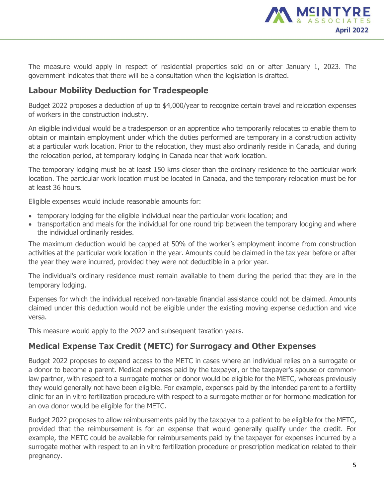

The measure would apply in respect of residential properties sold on or after January 1, 2023. The government indicates that there will be a consultation when the legislation is drafted.

# **Labour Mobility Deduction for Tradespeople**

Budget 2022 proposes a deduction of up to \$4,000/year to recognize certain travel and relocation expenses of workers in the construction industry.

An eligible individual would be a tradesperson or an apprentice who temporarily relocates to enable them to obtain or maintain employment under which the duties performed are temporary in a construction activity at a particular work location. Prior to the relocation, they must also ordinarily reside in Canada, and during the relocation period, at temporary lodging in Canada near that work location.

The temporary lodging must be at least 150 kms closer than the ordinary residence to the particular work location. The particular work location must be located in Canada, and the temporary relocation must be for at least 36 hours.

Eligible expenses would include reasonable amounts for:

- temporary lodging for the eligible individual near the particular work location; and
- transportation and meals for the individual for one round trip between the temporary lodging and where the individual ordinarily resides.

The maximum deduction would be capped at 50% of the worker's employment income from construction activities at the particular work location in the year. Amounts could be claimed in the tax year before or after the year they were incurred, provided they were not deductible in a prior year.

The individual's ordinary residence must remain available to them during the period that they are in the temporary lodging.

Expenses for which the individual received non-taxable financial assistance could not be claimed. Amounts claimed under this deduction would not be eligible under the existing moving expense deduction and vice versa.

This measure would apply to the 2022 and subsequent taxation years.

# **Medical Expense Tax Credit (METC) for Surrogacy and Other Expenses**

Budget 2022 proposes to expand access to the METC in cases where an individual relies on a surrogate or a donor to become a parent. Medical expenses paid by the taxpayer, or the taxpayer's spouse or commonlaw partner, with respect to a surrogate mother or donor would be eligible for the METC, whereas previously they would generally not have been eligible. For example, expenses paid by the intended parent to a fertility clinic for an in vitro fertilization procedure with respect to a surrogate mother or for hormone medication for an ova donor would be eligible for the METC.

Budget 2022 proposes to allow reimbursements paid by the taxpayer to a patient to be eligible for the METC, provided that the reimbursement is for an expense that would generally qualify under the credit. For example, the METC could be available for reimbursements paid by the taxpayer for expenses incurred by a surrogate mother with respect to an in vitro fertilization procedure or prescription medication related to their pregnancy.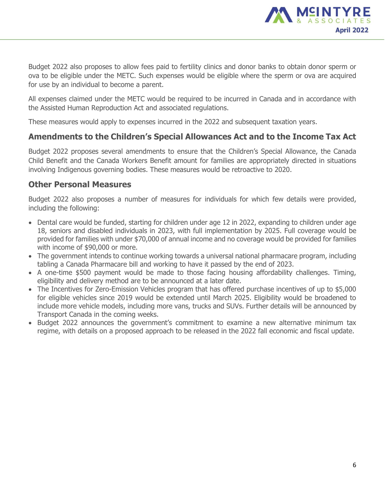

Budget 2022 also proposes to allow fees paid to fertility clinics and donor banks to obtain donor sperm or ova to be eligible under the METC. Such expenses would be eligible where the sperm or ova are acquired for use by an individual to become a parent.

All expenses claimed under the METC would be required to be incurred in Canada and in accordance with the Assisted Human Reproduction Act and associated regulations.

These measures would apply to expenses incurred in the 2022 and subsequent taxation years.

# **Amendments to the Children's Special Allowances Act and to the Income Tax Act**

Budget 2022 proposes several amendments to ensure that the Children's Special Allowance, the Canada Child Benefit and the Canada Workers Benefit amount for families are appropriately directed in situations involving Indigenous governing bodies. These measures would be retroactive to 2020.

# **Other Personal Measures**

Budget 2022 also proposes a number of measures for individuals for which few details were provided, including the following:

- Dental care would be funded, starting for children under age 12 in 2022, expanding to children under age 18, seniors and disabled individuals in 2023, with full implementation by 2025. Full coverage would be provided for families with under \$70,000 of annual income and no coverage would be provided for families with income of \$90,000 or more.
- The government intends to continue working towards a universal national pharmacare program, including tabling a Canada Pharmacare bill and working to have it passed by the end of 2023.
- A one-time \$500 payment would be made to those facing housing affordability challenges. Timing, eligibility and delivery method are to be announced at a later date.
- The Incentives for Zero-Emission Vehicles program that has offered purchase incentives of up to \$5,000 for eligible vehicles since 2019 would be extended until March 2025. Eligibility would be broadened to include more vehicle models, including more vans, trucks and SUVs. Further details will be announced by Transport Canada in the coming weeks.
- Budget 2022 announces the government's commitment to examine a new alternative minimum tax regime, with details on a proposed approach to be released in the 2022 fall economic and fiscal update.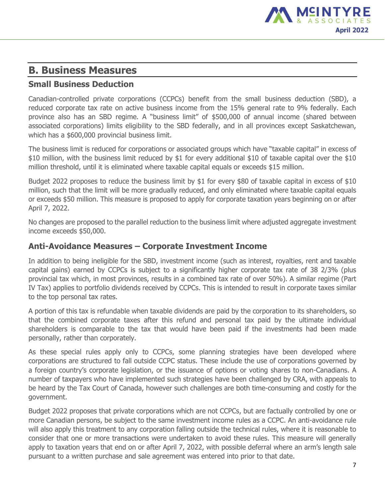

# **B. Business Measures**

# **Small Business Deduction**

Canadian-controlled private corporations (CCPCs) benefit from the small business deduction (SBD), a reduced corporate tax rate on active business income from the 15% general rate to 9% federally. Each province also has an SBD regime. A "business limit" of \$500,000 of annual income (shared between associated corporations) limits eligibility to the SBD federally, and in all provinces except Saskatchewan, which has a \$600,000 provincial business limit.

The business limit is reduced for corporations or associated groups which have "taxable capital" in excess of \$10 million, with the business limit reduced by \$1 for every additional \$10 of taxable capital over the \$10 million threshold, until it is eliminated where taxable capital equals or exceeds \$15 million.

Budget 2022 proposes to reduce the business limit by \$1 for every \$80 of taxable capital in excess of \$10 million, such that the limit will be more gradually reduced, and only eliminated where taxable capital equals or exceeds \$50 million. This measure is proposed to apply for corporate taxation years beginning on or after April 7, 2022.

No changes are proposed to the parallel reduction to the business limit where adjusted aggregate investment income exceeds \$50,000.

## **Anti-Avoidance Measures – Corporate Investment Income**

In addition to being ineligible for the SBD, investment income (such as interest, royalties, rent and taxable capital gains) earned by CCPCs is subject to a significantly higher corporate tax rate of 38 2/3% (plus provincial tax which, in most provinces, results in a combined tax rate of over 50%). A similar regime (Part IV Tax) applies to portfolio dividends received by CCPCs. This is intended to result in corporate taxes similar to the top personal tax rates.

A portion of this tax is refundable when taxable dividends are paid by the corporation to its shareholders, so that the combined corporate taxes after this refund and personal tax paid by the ultimate individual shareholders is comparable to the tax that would have been paid if the investments had been made personally, rather than corporately.

As these special rules apply only to CCPCs, some planning strategies have been developed where corporations are structured to fall outside CCPC status. These include the use of corporations governed by a foreign country's corporate legislation, or the issuance of options or voting shares to non-Canadians. A number of taxpayers who have implemented such strategies have been challenged by CRA, with appeals to be heard by the Tax Court of Canada, however such challenges are both time-consuming and costly for the government.

Budget 2022 proposes that private corporations which are not CCPCs, but are factually controlled by one or more Canadian persons, be subject to the same investment income rules as a CCPC. An anti-avoidance rule will also apply this treatment to any corporation falling outside the technical rules, where it is reasonable to consider that one or more transactions were undertaken to avoid these rules. This measure will generally apply to taxation years that end on or after April 7, 2022, with possible deferral where an arm's length sale pursuant to a written purchase and sale agreement was entered into prior to that date.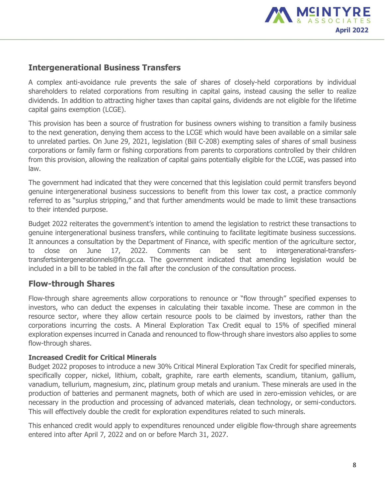

# **Intergenerational Business Transfers**

A complex anti-avoidance rule prevents the sale of shares of closely-held corporations by individual shareholders to related corporations from resulting in capital gains, instead causing the seller to realize dividends. In addition to attracting higher taxes than capital gains, dividends are not eligible for the lifetime capital gains exemption (LCGE).

This provision has been a source of frustration for business owners wishing to transition a family business to the next generation, denying them access to the LCGE which would have been available on a similar sale to unrelated parties. On June 29, 2021, legislation (Bill C-208) exempting sales of shares of small business corporations or family farm or fishing corporations from parents to corporations controlled by their children from this provision, allowing the realization of capital gains potentially eligible for the LCGE, was passed into law.

The government had indicated that they were concerned that this legislation could permit transfers beyond genuine intergenerational business successions to benefit from this lower tax cost, a practice commonly referred to as "surplus stripping," and that further amendments would be made to limit these transactions to their intended purpose.

Budget 2022 reiterates the government's intention to amend the legislation to restrict these transactions to genuine intergenerational business transfers, while continuing to facilitate legitimate business successions. It announces a consultation by the Department of Finance, with specific mention of the agriculture sector, to close on June 17, 2022. Comments can be sent to intergenerational-transferstransfertsintergenerationnels@fin.gc.ca. The government indicated that amending legislation would be included in a bill to be tabled in the fall after the conclusion of the consultation process.

# **Flow-through Shares**

Flow-through share agreements allow corporations to renounce or "flow through" specified expenses to investors, who can deduct the expenses in calculating their taxable income. These are common in the resource sector, where they allow certain resource pools to be claimed by investors, rather than the corporations incurring the costs. A Mineral Exploration Tax Credit equal to 15% of specified mineral exploration expenses incurred in Canada and renounced to flow-through share investors also applies to some flow-through shares.

## **Increased Credit for Critical Minerals**

Budget 2022 proposes to introduce a new 30% Critical Mineral Exploration Tax Credit for specified minerals, specifically copper, nickel, lithium, cobalt, graphite, rare earth elements, scandium, titanium, gallium, vanadium, tellurium, magnesium, zinc, platinum group metals and uranium. These minerals are used in the production of batteries and permanent magnets, both of which are used in zero-emission vehicles, or are necessary in the production and processing of advanced materials, clean technology, or semi-conductors. This will effectively double the credit for exploration expenditures related to such minerals.

This enhanced credit would apply to expenditures renounced under eligible flow-through share agreements entered into after April 7, 2022 and on or before March 31, 2027.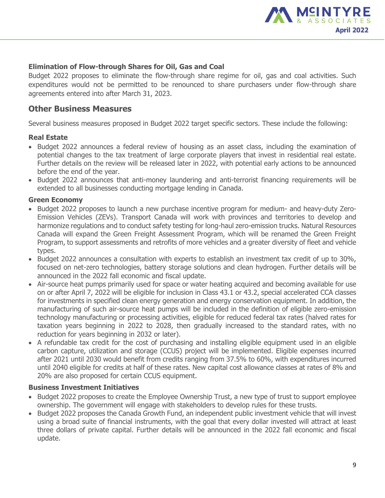

### **Elimination of Flow-through Shares for Oil, Gas and Coal**

Budget 2022 proposes to eliminate the flow-through share regime for oil, gas and coal activities. Such expenditures would not be permitted to be renounced to share purchasers under flow-through share agreements entered into after March 31, 2023.

## **Other Business Measures**

Several business measures proposed in Budget 2022 target specific sectors. These include the following:

## **Real Estate**

- Budget 2022 announces a federal review of housing as an asset class, including the examination of potential changes to the tax treatment of large corporate players that invest in residential real estate. Further details on the review will be released later in 2022, with potential early actions to be announced before the end of the year.
- Budget 2022 announces that anti-money laundering and anti-terrorist financing requirements will be extended to all businesses conducting mortgage lending in Canada.

## **Green Economy**

- Budget 2022 proposes to launch a new purchase incentive program for medium- and heavy-duty Zero-Emission Vehicles (ZEVs). Transport Canada will work with provinces and territories to develop and harmonize regulations and to conduct safety testing for long-haul zero-emission trucks. Natural Resources Canada will expand the Green Freight Assessment Program, which will be renamed the Green Freight Program, to support assessments and retrofits of more vehicles and a greater diversity of fleet and vehicle types.
- Budget 2022 announces a consultation with experts to establish an investment tax credit of up to 30%, focused on net-zero technologies, battery storage solutions and clean hydrogen. Further details will be announced in the 2022 fall economic and fiscal update.
- Air-source heat pumps primarily used for space or water heating acquired and becoming available for use on or after April 7, 2022 will be eligible for inclusion in Class 43.1 or 43.2, special accelerated CCA classes for investments in specified clean energy generation and energy conservation equipment. In addition, the manufacturing of such air-source heat pumps will be included in the definition of eligible zero-emission technology manufacturing or processing activities, eligible for reduced federal tax rates (halved rates for taxation years beginning in 2022 to 2028, then gradually increased to the standard rates, with no reduction for years beginning in 2032 or later).
- A refundable tax credit for the cost of purchasing and installing eligible equipment used in an eligible carbon capture, utilization and storage (CCUS) project will be implemented. Eligible expenses incurred after 2021 until 2030 would benefit from credits ranging from 37.5% to 60%, with expenditures incurred until 2040 eligible for credits at half of these rates. New capital cost allowance classes at rates of 8% and 20% are also proposed for certain CCUS equipment.

### **Business Investment Initiatives**

- Budget 2022 proposes to create the Employee Ownership Trust, a new type of trust to support employee ownership. The government will engage with stakeholders to develop rules for these trusts.
- Budget 2022 proposes the Canada Growth Fund, an independent public investment vehicle that will invest using a broad suite of financial instruments, with the goal that every dollar invested will attract at least three dollars of private capital. Further details will be announced in the 2022 fall economic and fiscal update.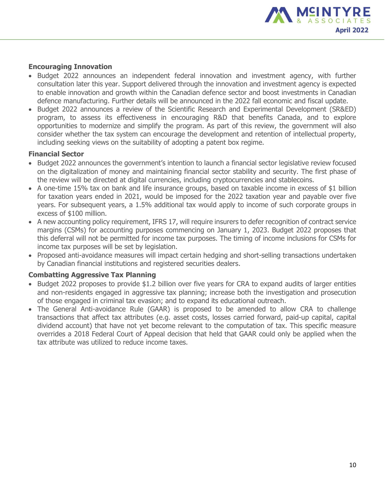

### **Encouraging Innovation**

- Budget 2022 announces an independent federal innovation and investment agency, with further consultation later this year. Support delivered through the innovation and investment agency is expected to enable innovation and growth within the Canadian defence sector and boost investments in Canadian defence manufacturing. Further details will be announced in the 2022 fall economic and fiscal update.
- Budget 2022 announces a review of the Scientific Research and Experimental Development (SR&ED) program, to assess its effectiveness in encouraging R&D that benefits Canada, and to explore opportunities to modernize and simplify the program. As part of this review, the government will also consider whether the tax system can encourage the development and retention of intellectual property, including seeking views on the suitability of adopting a patent box regime.

### **Financial Sector**

- Budget 2022 announces the government's intention to launch a financial sector legislative review focused on the digitalization of money and maintaining financial sector stability and security. The first phase of the review will be directed at digital currencies, including cryptocurrencies and stablecoins.
- A one-time 15% tax on bank and life insurance groups, based on taxable income in excess of \$1 billion for taxation years ended in 2021, would be imposed for the 2022 taxation year and payable over five years. For subsequent years, a 1.5% additional tax would apply to income of such corporate groups in excess of \$100 million.
- A new accounting policy requirement, IFRS 17, will require insurers to defer recognition of contract service margins (CSMs) for accounting purposes commencing on January 1, 2023. Budget 2022 proposes that this deferral will not be permitted for income tax purposes. The timing of income inclusions for CSMs for income tax purposes will be set by legislation.
- Proposed anti-avoidance measures will impact certain hedging and short-selling transactions undertaken by Canadian financial institutions and registered securities dealers.

### **Combatting Aggressive Tax Planning**

- Budget 2022 proposes to provide \$1.2 billion over five years for CRA to expand audits of larger entities and non-residents engaged in aggressive tax planning; increase both the investigation and prosecution of those engaged in criminal tax evasion; and to expand its educational outreach.
- The General Anti-avoidance Rule (GAAR) is proposed to be amended to allow CRA to challenge transactions that affect tax attributes (e.g. asset costs, losses carried forward, paid-up capital, capital dividend account) that have not yet become relevant to the computation of tax. This specific measure overrides a 2018 Federal Court of Appeal decision that held that GAAR could only be applied when the tax attribute was utilized to reduce income taxes.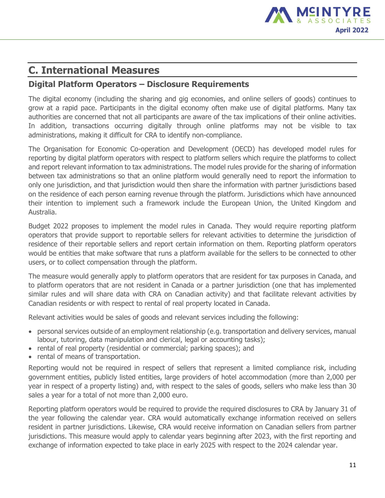

# **C. International Measures**

# **Digital Platform Operators – Disclosure Requirements**

The digital economy (including the sharing and gig economies, and online sellers of goods) continues to grow at a rapid pace. Participants in the digital economy often make use of digital platforms. Many tax authorities are concerned that not all participants are aware of the tax implications of their online activities. In addition, transactions occurring digitally through online platforms may not be visible to tax administrations, making it difficult for CRA to identify non-compliance.

The Organisation for Economic Co-operation and Development (OECD) has developed model rules for reporting by digital platform operators with respect to platform sellers which require the platforms to collect and report relevant information to tax administrations. The model rules provide for the sharing of information between tax administrations so that an online platform would generally need to report the information to only one jurisdiction, and that jurisdiction would then share the information with partner jurisdictions based on the residence of each person earning revenue through the platform. Jurisdictions which have announced their intention to implement such a framework include the European Union, the United Kingdom and Australia.

Budget 2022 proposes to implement the model rules in Canada. They would require reporting platform operators that provide support to reportable sellers for relevant activities to determine the jurisdiction of residence of their reportable sellers and report certain information on them. Reporting platform operators would be entities that make software that runs a platform available for the sellers to be connected to other users, or to collect compensation through the platform.

The measure would generally apply to platform operators that are resident for tax purposes in Canada, and to platform operators that are not resident in Canada or a partner jurisdiction (one that has implemented similar rules and will share data with CRA on Canadian activity) and that facilitate relevant activities by Canadian residents or with respect to rental of real property located in Canada.

Relevant activities would be sales of goods and relevant services including the following:

- personal services outside of an employment relationship (e.g. transportation and delivery services, manual labour, tutoring, data manipulation and clerical, legal or accounting tasks);
- rental of real property (residential or commercial; parking spaces); and
- rental of means of transportation.

Reporting would not be required in respect of sellers that represent a limited compliance risk, including government entities, publicly listed entities, large providers of hotel accommodation (more than 2,000 per year in respect of a property listing) and, with respect to the sales of goods, sellers who make less than 30 sales a year for a total of not more than 2,000 euro.

Reporting platform operators would be required to provide the required disclosures to CRA by January 31 of the year following the calendar year. CRA would automatically exchange information received on sellers resident in partner jurisdictions. Likewise, CRA would receive information on Canadian sellers from partner jurisdictions. This measure would apply to calendar years beginning after 2023, with the first reporting and exchange of information expected to take place in early 2025 with respect to the 2024 calendar year.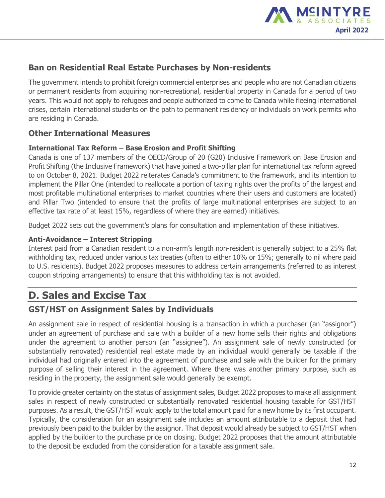

# **Ban on Residential Real Estate Purchases by Non-residents**

The government intends to prohibit foreign commercial enterprises and people who are not Canadian citizens or permanent residents from acquiring non-recreational, residential property in Canada for a period of two years. This would not apply to refugees and people authorized to come to Canada while fleeing international crises, certain international students on the path to permanent residency or individuals on work permits who are residing in Canada.

# **Other International Measures**

## **International Tax Reform – Base Erosion and Profit Shifting**

Canada is one of 137 members of the OECD/Group of 20 (G20) Inclusive Framework on Base Erosion and Profit Shifting (the Inclusive Framework) that have joined a two-pillar plan for international tax reform agreed to on October 8, 2021. Budget 2022 reiterates Canada's commitment to the framework, and its intention to implement the Pillar One (intended to reallocate a portion of taxing rights over the profits of the largest and most profitable multinational enterprises to market countries where their users and customers are located) and Pillar Two (intended to ensure that the profits of large multinational enterprises are subject to an effective tax rate of at least 15%, regardless of where they are earned) initiatives.

Budget 2022 sets out the government's plans for consultation and implementation of these initiatives.

## **Anti-Avoidance – Interest Stripping**

Interest paid from a Canadian resident to a non-arm's length non-resident is generally subject to a 25% flat withholding tax, reduced under various tax treaties (often to either 10% or 15%; generally to nil where paid to U.S. residents). Budget 2022 proposes measures to address certain arrangements (referred to as interest coupon stripping arrangements) to ensure that this withholding tax is not avoided.

# **D. Sales and Excise Tax**

# **GST/HST on Assignment Sales by Individuals**

An assignment sale in respect of residential housing is a transaction in which a purchaser (an "assignor") under an agreement of purchase and sale with a builder of a new home sells their rights and obligations under the agreement to another person (an "assignee"). An assignment sale of newly constructed (or substantially renovated) residential real estate made by an individual would generally be taxable if the individual had originally entered into the agreement of purchase and sale with the builder for the primary purpose of selling their interest in the agreement. Where there was another primary purpose, such as residing in the property, the assignment sale would generally be exempt.

To provide greater certainty on the status of assignment sales, Budget 2022 proposes to make all assignment sales in respect of newly constructed or substantially renovated residential housing taxable for GST/HST purposes. As a result, the GST/HST would apply to the total amount paid for a new home by its first occupant. Typically, the consideration for an assignment sale includes an amount attributable to a deposit that had previously been paid to the builder by the assignor. That deposit would already be subject to GST/HST when applied by the builder to the purchase price on closing. Budget 2022 proposes that the amount attributable to the deposit be excluded from the consideration for a taxable assignment sale.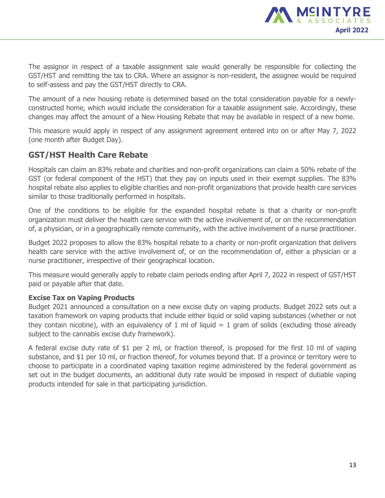

The assignor in respect of a taxable assignment sale would generally be responsible for collecting the GST/HST and remitting the tax to CRA. Where an assignor is non-resident, the assignee would be required to self-assess and pay the GST/HST directly to CRA.

The amount of a new housing rebate is determined based on the total consideration payable for a newlyconstructed home, which would include the consideration for a taxable assignment sale. Accordingly, these changes may affect the amount of a New Housing Rebate that may be available in respect of a new home.

This measure would apply in respect of any assignment agreement entered into on or after May 7, 2022 (one month after Budget Day).

# **GST/HST Health Care Rebate**

Hospitals can claim an 83% rebate and charities and non-profit organizations can claim a 50% rebate of the GST (or federal component of the HST) that they pay on inputs used in their exempt supplies. The 83% hospital rebate also applies to eligible charities and non-profit organizations that provide health care services similar to those traditionally performed in hospitals.

One of the conditions to be eligible for the expanded hospital rebate is that a charity or non-profit organization must deliver the health care service with the active involvement of, or on the recommendation of, a physician, or in a geographically remote community, with the active involvement of a nurse practitioner.

Budget 2022 proposes to allow the 83% hospital rebate to a charity or non-profit organization that delivers health care service with the active involvement of, or on the recommendation of, either a physician or a nurse practitioner, irrespective of their geographical location.

This measure would generally apply to rebate claim periods ending after April 7, 2022 in respect of GST/HST paid or payable after that date.

## **Excise Tax on Vaping Products**

Budget 2021 announced a consultation on a new excise duty on vaping products. Budget 2022 sets out a taxation framework on vaping products that include either liquid or solid vaping substances (whether or not they contain nicotine), with an equivalency of 1 ml of liquid  $= 1$  gram of solids (excluding those already subject to the cannabis excise duty framework).

A federal excise duty rate of \$1 per 2 ml, or fraction thereof, is proposed for the first 10 ml of vaping substance, and \$1 per 10 ml, or fraction thereof, for volumes beyond that. If a province or territory were to choose to participate in a coordinated vaping taxation regime administered by the federal government as set out in the budget documents, an additional duty rate would be imposed in respect of dutiable vaping products intended for sale in that participating jurisdiction.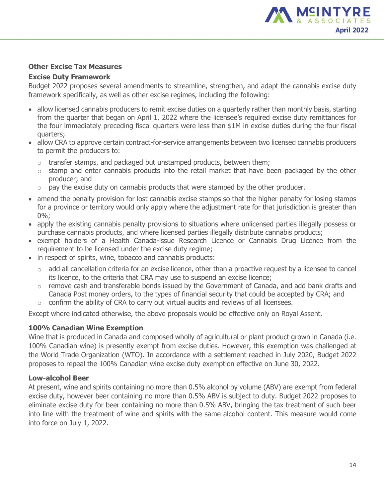

### **Other Excise Tax Measures**

#### **Excise Duty Framework**

Budget 2022 proposes several amendments to streamline, strengthen, and adapt the cannabis excise duty framework specifically, as well as other excise regimes, including the following:

- allow licensed cannabis producers to remit excise duties on a quarterly rather than monthly basis, starting from the quarter that began on April 1, 2022 where the licensee's required excise duty remittances for the four immediately preceding fiscal quarters were less than \$1M in excise duties during the four fiscal quarters;
- allow CRA to approve certain contract-for-service arrangements between two licensed cannabis producers to permit the producers to:
	- $\circ$  transfer stamps, and packaged but unstamped products, between them;
	- $\circ$  stamp and enter cannabis products into the retail market that have been packaged by the other producer; and
	- $\circ$  pay the excise duty on cannabis products that were stamped by the other producer.
- amend the penalty provision for lost cannabis excise stamps so that the higher penalty for losing stamps for a province or territory would only apply where the adjustment rate for that jurisdiction is greater than 0%;
- apply the existing cannabis penalty provisions to situations where unlicensed parties illegally possess or purchase cannabis products, and where licensed parties illegally distribute cannabis products;
- exempt holders of a Health Canada-issue Research Licence or Cannabis Drug Licence from the requirement to be licensed under the excise duty regime;
- in respect of spirits, wine, tobacco and cannabis products:
	- o add all cancellation criteria for an excise licence, other than a proactive request by a licensee to cancel its licence, to the criteria that CRA may use to suspend an excise licence;
	- $\circ$  remove cash and transferable bonds issued by the Government of Canada, and add bank drafts and Canada Post money orders, to the types of financial security that could be accepted by CRA; and
	- $\circ$  confirm the ability of CRA to carry out virtual audits and reviews of all licensees.

Except where indicated otherwise, the above proposals would be effective only on Royal Assent.

## **100% Canadian Wine Exemption**

Wine that is produced in Canada and composed wholly of agricultural or plant product grown in Canada (i.e. 100% Canadian wine) is presently exempt from excise duties. However, this exemption was challenged at the World Trade Organization (WTO). In accordance with a settlement reached in July 2020, Budget 2022 proposes to repeal the 100% Canadian wine excise duty exemption effective on June 30, 2022.

## **Low-alcohol Beer**

At present, wine and spirits containing no more than 0.5% alcohol by volume (ABV) are exempt from federal excise duty, however beer containing no more than 0.5% ABV is subject to duty. Budget 2022 proposes to eliminate excise duty for beer containing no more than 0.5% ABV, bringing the tax treatment of such beer into line with the treatment of wine and spirits with the same alcohol content. This measure would come into force on July 1, 2022.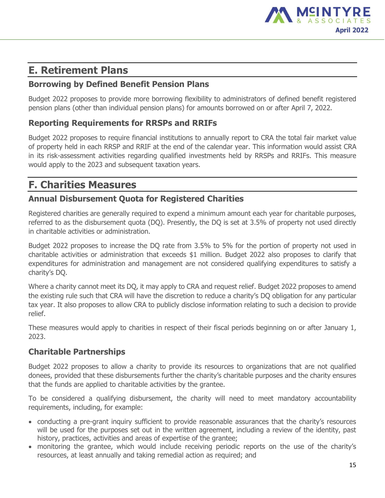

# **E. Retirement Plans**

# **Borrowing by Defined Benefit Pension Plans**

Budget 2022 proposes to provide more borrowing flexibility to administrators of defined benefit registered pension plans (other than individual pension plans) for amounts borrowed on or after April 7, 2022.

# **Reporting Requirements for RRSPs and RRIFs**

Budget 2022 proposes to require financial institutions to annually report to CRA the total fair market value of property held in each RRSP and RRIF at the end of the calendar year. This information would assist CRA in its risk-assessment activities regarding qualified investments held by RRSPs and RRIFs. This measure would apply to the 2023 and subsequent taxation years.

# **F. Charities Measures**

# **Annual Disbursement Quota for Registered Charities**

Registered charities are generally required to expend a minimum amount each year for charitable purposes, referred to as the disbursement quota (DQ). Presently, the DQ is set at 3.5% of property not used directly in charitable activities or administration.

Budget 2022 proposes to increase the DQ rate from 3.5% to 5% for the portion of property not used in charitable activities or administration that exceeds \$1 million. Budget 2022 also proposes to clarify that expenditures for administration and management are not considered qualifying expenditures to satisfy a charity's DQ.

Where a charity cannot meet its DQ, it may apply to CRA and request relief. Budget 2022 proposes to amend the existing rule such that CRA will have the discretion to reduce a charity's DQ obligation for any particular tax year. It also proposes to allow CRA to publicly disclose information relating to such a decision to provide relief.

These measures would apply to charities in respect of their fiscal periods beginning on or after January 1, 2023.

# **Charitable Partnerships**

Budget 2022 proposes to allow a charity to provide its resources to organizations that are not qualified donees, provided that these disbursements further the charity's charitable purposes and the charity ensures that the funds are applied to charitable activities by the grantee.

To be considered a qualifying disbursement, the charity will need to meet mandatory accountability requirements, including, for example:

- conducting a pre-grant inquiry sufficient to provide reasonable assurances that the charity's resources will be used for the purposes set out in the written agreement, including a review of the identity, past history, practices, activities and areas of expertise of the grantee;
- monitoring the grantee, which would include receiving periodic reports on the use of the charity's resources, at least annually and taking remedial action as required; and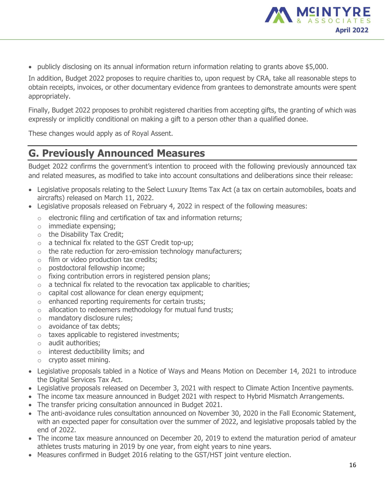

publicly disclosing on its annual information return information relating to grants above \$5,000.

In addition, Budget 2022 proposes to require charities to, upon request by CRA, take all reasonable steps to obtain receipts, invoices, or other documentary evidence from grantees to demonstrate amounts were spent appropriately.

Finally, Budget 2022 proposes to prohibit registered charities from accepting gifts, the granting of which was expressly or implicitly conditional on making a gift to a person other than a qualified donee.

These changes would apply as of Royal Assent.

# **G. Previously Announced Measures**

Budget 2022 confirms the government's intention to proceed with the following previously announced tax and related measures, as modified to take into account consultations and deliberations since their release:

- Legislative proposals relating to the Select Luxury Items Tax Act (a tax on certain automobiles, boats and aircrafts) released on March 11, 2022.
- Legislative proposals released on February 4, 2022 in respect of the following measures:
	- o electronic filing and certification of tax and information returns;
	- o immediate expensing;
	- o the Disability Tax Credit;
	- o a technical fix related to the GST Credit top-up;
	- $\circ$  the rate reduction for zero-emission technology manufacturers;
	- o film or video production tax credits;
	- o postdoctoral fellowship income;
	- o fixing contribution errors in registered pension plans;
	- $\circ$  a technical fix related to the revocation tax applicable to charities;
	- o capital cost allowance for clean energy equipment;
	- o enhanced reporting requirements for certain trusts;
	- $\circ$  allocation to redeemers methodology for mutual fund trusts;
	- o mandatory disclosure rules;
	- o avoidance of tax debts;
	- o taxes applicable to registered investments;
	- o audit authorities;
	- o interest deductibility limits; and
	- o crypto asset mining.
- Legislative proposals tabled in a Notice of Ways and Means Motion on December 14, 2021 to introduce the Digital Services Tax Act.
- Legislative proposals released on December 3, 2021 with respect to Climate Action Incentive payments.
- The income tax measure announced in Budget 2021 with respect to Hybrid Mismatch Arrangements.
- The transfer pricing consultation announced in Budget 2021.
- The anti-avoidance rules consultation announced on November 30, 2020 in the Fall Economic Statement, with an expected paper for consultation over the summer of 2022, and legislative proposals tabled by the end of 2022.
- The income tax measure announced on December 20, 2019 to extend the maturation period of amateur athletes trusts maturing in 2019 by one year, from eight years to nine years.
- Measures confirmed in Budget 2016 relating to the GST/HST joint venture election.